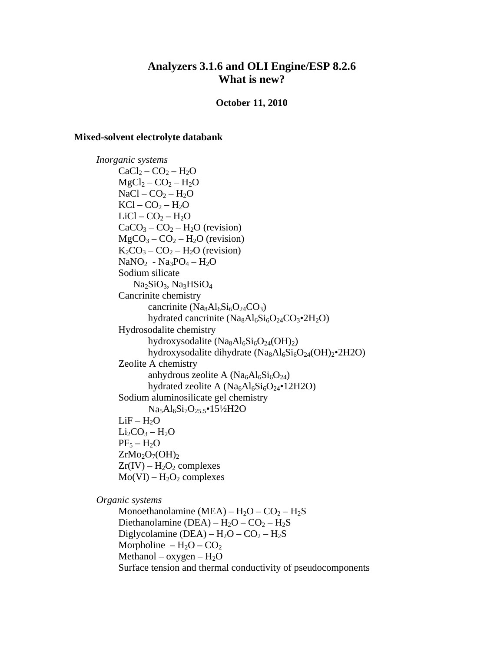# **Analyzers 3.1.6 and OLI Engine/ESP 8.2.6 What is new?**

### **October 11, 2010**

#### **Mixed-solvent electrolyte databank**

*Inorganic systems*   $CaCl<sub>2</sub> - CO<sub>2</sub> - H<sub>2</sub>O$  $MgCl_2 - CO_2 - H_2O$  $NaCl - CO<sub>2</sub> - H<sub>2</sub>O$  $KCl - CO<sub>2</sub> - H<sub>2</sub>O$  $LiCl - CO<sub>2</sub> - H<sub>2</sub>O$  $CaCO<sub>3</sub> - CO<sub>2</sub> - H<sub>2</sub>O$  (revision)  $MgCO<sub>3</sub> - CO<sub>2</sub> - H<sub>2</sub>O$  (revision)  $K_2CO_3 - CO_2 - H_2O$  (revision)  $NaNO<sub>2</sub> - Na<sub>3</sub>PO<sub>4</sub> - H<sub>2</sub>O$ Sodium silicate Na<sub>2</sub>SiO<sub>3</sub>, Na<sub>3</sub>HSiO<sub>4</sub> Cancrinite chemistry cancrinite  $(Na_8Al_6Si_6O_{24}CO_3)$ hydrated cancrinite  $(Na_8Al_6Si_6O_{24}CO_3^{\bullet}2H_2O)$ Hydrosodalite chemistry hydroxysodalite  $(Na_8Al_6Si_6O_{24}(OH)_2)$ hydroxysodalite dihydrate  $(Na_8Al_6Si_6O_{24}(OH)_2^{\bullet}2H2O)$ Zeolite A chemistry anhydrous zeolite A  $(Na_6Al_6Si_6O_{24})$ hydrated zeolite A  $(Na_6Al_6Si_6O_{24} \cdot 12H2O)$ Sodium aluminosilicate gel chemistry Na5Al6Si7O25.5•15½H2O  $LiF - H<sub>2</sub>O$  $Li<sub>2</sub>CO<sub>3</sub> - H<sub>2</sub>O$  $PF_5 - H_2O$  $ZrMo<sub>2</sub>O<sub>7</sub>(OH)<sub>2</sub>$  $Zr(IV) - H<sub>2</sub>O<sub>2</sub>$  complexes  $Mo(VI) - H<sub>2</sub>O<sub>2</sub> complexes$ 

*Organic systems* 

Monoethanolamine (MEA) –  $H_2O - CO_2 - H_2S$ Diethanolamine (DEA) –  $H_2O - CO_2 - H_2S$ Diglycolamine (DEA) –  $H_2O - CO_2 - H_2S$ Morpholine –  $H_2O$  –  $CO_2$ Methanol – oxygen –  $H_2O$ Surface tension and thermal conductivity of pseudocomponents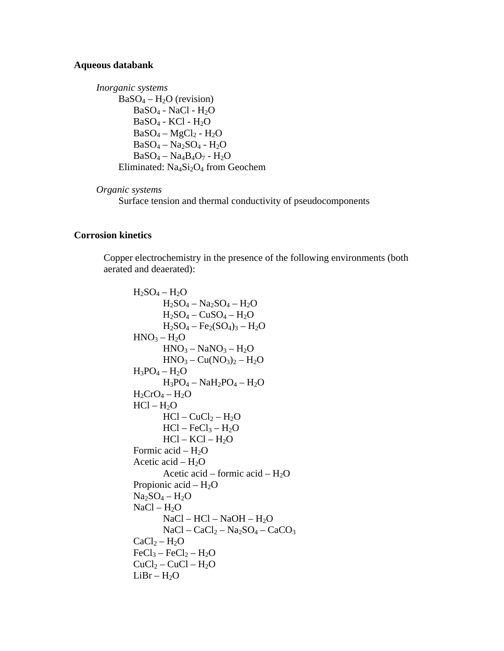## **Aqueous databank**

```
Inorganic systems 
      BaSO_4 - H_2O (revision)
           BaSO<sub>4</sub> - NaCl - H<sub>2</sub>OBaSO<sub>4</sub> - KCl - H<sub>2</sub>OBaSO_4 - MgCl_2 - H_2OBaSO_4-Na_2SO_4-H_2OBaSO_4 - Na_4B_4O_7 - H_2OEliminated: Na<sub>4</sub>Si<sub>2</sub>O<sub>4</sub> from Geochem
```

```
Organic systems
```
Surface tension and thermal conductivity of pseudocomponents

# **Corrosion kinetics**

Copper electrochemistry in the presence of the following environments (both aerated and deaerated):

 $H_2SO_4 - H_2O$  $H_2SO_4 - Na_2SO_4 - H_2O$  $H_2SO_4 - CuSO_4 - H_2O$  $H_2SO_4 - Fe_2(SO_4)_3 - H_2O$  $HNO<sub>3</sub> - H<sub>2</sub>O$  $HNO<sub>3</sub> - NaNO<sub>3</sub> - H<sub>2</sub>O$  $HNO<sub>3</sub> - Cu(NO<sub>3</sub>)<sub>2</sub> - H<sub>2</sub>O$  $H_3PO_4 - H_2O$  $H_3PO_4 - NaH_2PO_4 - H_2O$  $H_2CrO_4 - H_2O$  $HCl - H<sub>2</sub>O$  $HCl - CuCl<sub>2</sub> - H<sub>2</sub>O$  $HCl - FeCl<sub>3</sub> - H<sub>2</sub>O$  $HCl - KCl - H<sub>2</sub>O$ Formic acid –  $H_2O$ Acetic acid –  $H_2O$ Acetic acid – formic acid –  $H_2O$ Propionic acid –  $H_2O$  $Na<sub>2</sub>SO<sub>4</sub> - H<sub>2</sub>O$  $NaCl - H<sub>2</sub>O$  $NaCl - HCl - NaOH - H<sub>2</sub>O$  $NaCl - CaCl<sub>2</sub> - Na<sub>2</sub>SO<sub>4</sub> - CaCO<sub>3</sub>$  $CaCl<sub>2</sub> - H<sub>2</sub>O$  $FeCl<sub>3</sub> - FeCl<sub>2</sub> - H<sub>2</sub>O$  $CuCl<sub>2</sub> - CuCl - H<sub>2</sub>O$  $LiBr - H<sub>2</sub>O$